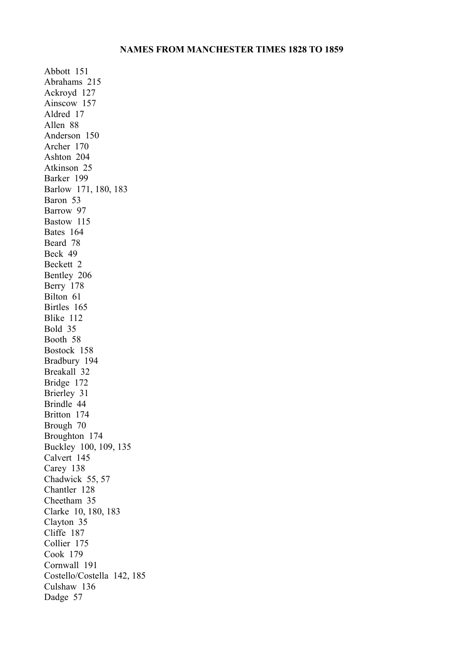## **NAMES FROM MANCHESTER TIMES 1828 TO 1859**

Abbott 151 Abrahams 215 Ackroyd 127 Ainscow 157 Aldred 17 Allen 88 Anderson 150 Archer 170 Ashton 204 Atkinson 25 Barker 199 Barlow 171, 180, 183 Baron 53 Barrow 97 Bastow 115 Bates 164 Beard 78 Beck 49 Beckett 2 Bentley 206 Berry 178 Bilton 61 Birtles 165 Blike 112 Bold 35 Booth 58 Bostock 158 Bradbury 194 Breakall 32 Bridge 172 Brierley 31 Brindle 44 Britton 174 Brough 70 Broughton 174 Buckley 100, 109, 135 Calvert 145 Carey 138 Chadwick 55, 57 Chantler 128 Cheetham 35 Clarke 10, 180, 183 Clayton 35 Cliffe 187 Collier 175 Cook 179 Cornwall 191 Costello/Costella 142, 185 Culshaw 136 Dadge 57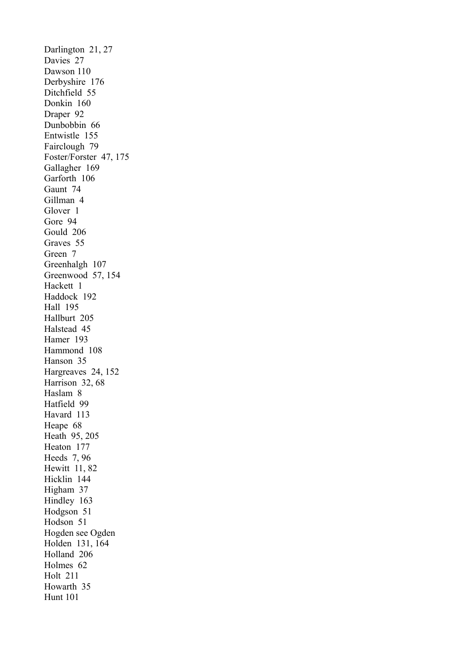Darlington 21, 27 Davies 27 Dawson 110 Derbyshire 176 Ditchfield 55 Donkin 160 Draper 92 Dunbobbin 66 Entwistle 155 Fairclough 79 Foster/Forster 47, 175 Gallagher 169 Garforth 106 Gaunt 74 Gillman 4 Glover 1 Gore 94 Gould 206 Graves 55 Green 7 Greenhalgh 107 Greenwood 57, 154 Hackett 1 Haddock 192 Hall 195 Hallburt 205 Halstead 45 Hamer 193 Hammond 108 Hanson 35 Hargreaves 24, 152 Harrison 32, 68 Haslam 8 Hatfield 99 Havard 113 Heape 68 Heath 95, 205 Heaton 177 Heeds 7, 96 Hewitt 11, 82 Hicklin 144 Higham 37 Hindley 163 Hodgson 51 Hodson 51 Hogden see Ogden Holden 131, 164 Holland 206 Holmes 62 Holt 211 Howarth 35 Hunt 101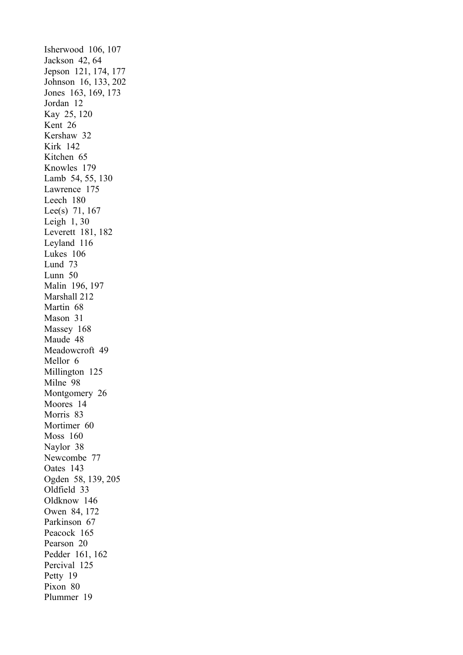Isherwood 106, 107 Jackson 42, 64 Jepson 121, 174, 177 Johnson 16, 133, 202 Jones 163, 169, 173 Jordan 12 Kay 25, 120 Kent 26 Kershaw 32 Kirk 142 Kitchen 65 Knowles 179 Lamb 54, 55, 130 Lawrence 175 Leech 180 Lee(s) 71, 167 Leigh 1, 30 Leverett 181, 182 Leyland 116 Lukes 106 Lund 73 Lunn 50 Malin 196, 197 Marshall 212 Martin 68 Mason 31 Massey 168 Maude 48 Meadowcroft 49 Mellor 6 Millington 125 Milne 98 Montgomery 26 Moores 14 Morris 83 Mortimer 60 Moss 160 Naylor 38 Newcombe 77 Oates 143 Ogden 58, 139, 205 Oldfield 33 Oldknow 146 Owen 84, 172 Parkinson 67 Peacock 165 Pearson 20 Pedder 161, 162 Percival 125 Petty 19 Pixon 80 Plummer 19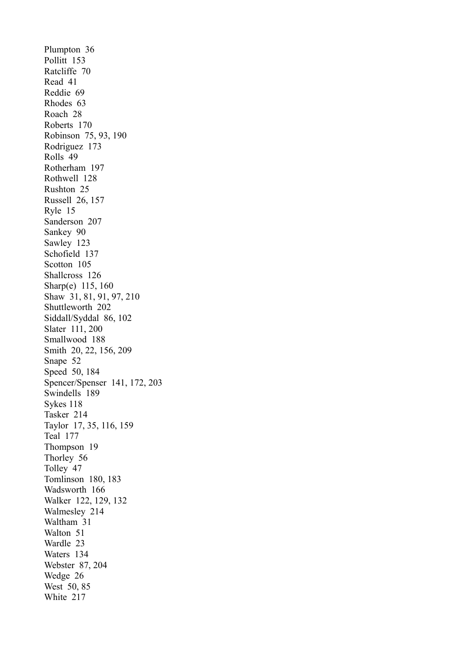Plumpton 36 Pollitt 153 Ratcliffe 70 Read 41 Reddie 69 Rhodes 63 Roach 28 Roberts 170 Robinson 75, 93, 190 Rodriguez 173 Rolls 49 Rotherham 197 Rothwell 128 Rushton 25 Russell 26, 157 Ryle 15 Sanderson 207 Sankey 90 Sawley 123 Schofield 137 Scotton 105 Shallcross 126 Sharp(e) 115, 160 Shaw 31, 81, 91, 97, 210 Shuttleworth 202 Siddall/Syddal 86, 102 Slater 111, 200 Smallwood 188 Smith 20, 22, 156, 209 Snape 52 Speed 50, 184 Spencer/Spenser 141, 172, 203 Swindells 189 Sykes 118 Tasker 214 Taylor 17, 35, 116, 159 Teal 177 Thompson 19 Thorley 56 Tolley 47 Tomlinson 180, 183 Wadsworth 166 Walker 122, 129, 132 Walmesley 214 Waltham 31 Walton 51 Wardle 23 Waters 134 Webster 87, 204 Wedge 26 West 50, 85 White 217